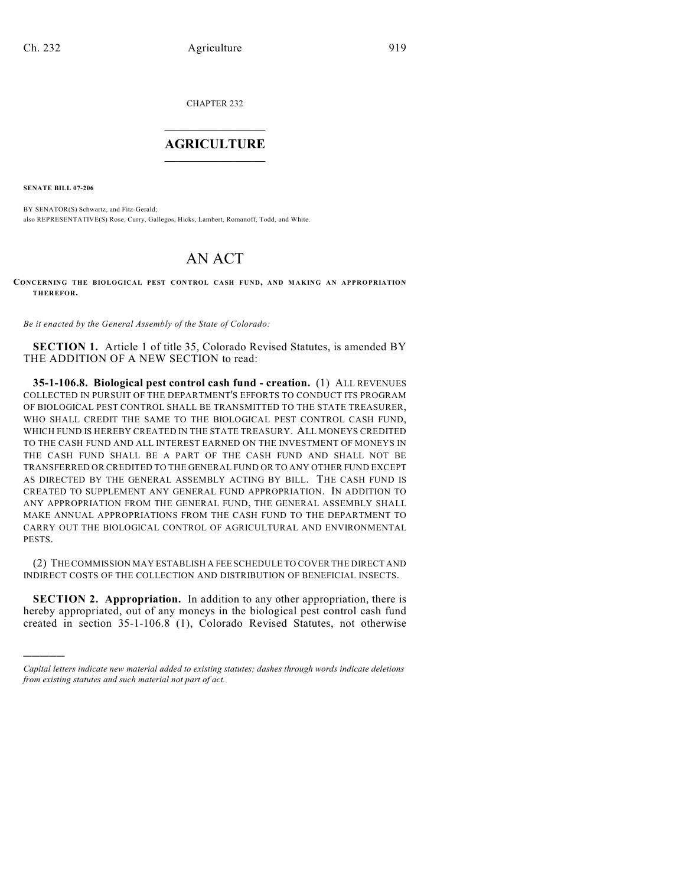CHAPTER 232  $\overline{\phantom{a}}$  . The set of the set of the set of the set of the set of the set of the set of the set of the set of the set of the set of the set of the set of the set of the set of the set of the set of the set of the set o

## **AGRICULTURE**  $\_$   $\_$   $\_$   $\_$   $\_$   $\_$   $\_$   $\_$

**SENATE BILL 07-206**

)))))

BY SENATOR(S) Schwartz, and Fitz-Gerald; also REPRESENTATIVE(S) Rose, Curry, Gallegos, Hicks, Lambert, Romanoff, Todd, and White.

## AN ACT

**CONCERNING THE BIOLOGICAL PEST CONTROL CASH FUND, AND MAKING AN APPROPRIATION THEREFOR.**

*Be it enacted by the General Assembly of the State of Colorado:*

**SECTION 1.** Article 1 of title 35, Colorado Revised Statutes, is amended BY THE ADDITION OF A NEW SECTION to read:

**35-1-106.8. Biological pest control cash fund - creation.** (1) ALL REVENUES COLLECTED IN PURSUIT OF THE DEPARTMENT'S EFFORTS TO CONDUCT ITS PROGRAM OF BIOLOGICAL PEST CONTROL SHALL BE TRANSMITTED TO THE STATE TREASURER, WHO SHALL CREDIT THE SAME TO THE BIOLOGICAL PEST CONTROL CASH FUND, WHICH FUND IS HEREBY CREATED IN THE STATE TREASURY. ALL MONEYS CREDITED TO THE CASH FUND AND ALL INTEREST EARNED ON THE INVESTMENT OF MONEYS IN THE CASH FUND SHALL BE A PART OF THE CASH FUND AND SHALL NOT BE TRANSFERRED OR CREDITED TO THE GENERAL FUND OR TO ANY OTHER FUND EXCEPT AS DIRECTED BY THE GENERAL ASSEMBLY ACTING BY BILL. THE CASH FUND IS CREATED TO SUPPLEMENT ANY GENERAL FUND APPROPRIATION. IN ADDITION TO ANY APPROPRIATION FROM THE GENERAL FUND, THE GENERAL ASSEMBLY SHALL MAKE ANNUAL APPROPRIATIONS FROM THE CASH FUND TO THE DEPARTMENT TO CARRY OUT THE BIOLOGICAL CONTROL OF AGRICULTURAL AND ENVIRONMENTAL PESTS.

(2) THE COMMISSION MAY ESTABLISH A FEE SCHEDULE TO COVER THE DIRECT AND INDIRECT COSTS OF THE COLLECTION AND DISTRIBUTION OF BENEFICIAL INSECTS.

**SECTION 2. Appropriation.** In addition to any other appropriation, there is hereby appropriated, out of any moneys in the biological pest control cash fund created in section 35-1-106.8 (1), Colorado Revised Statutes, not otherwise

*Capital letters indicate new material added to existing statutes; dashes through words indicate deletions from existing statutes and such material not part of act.*